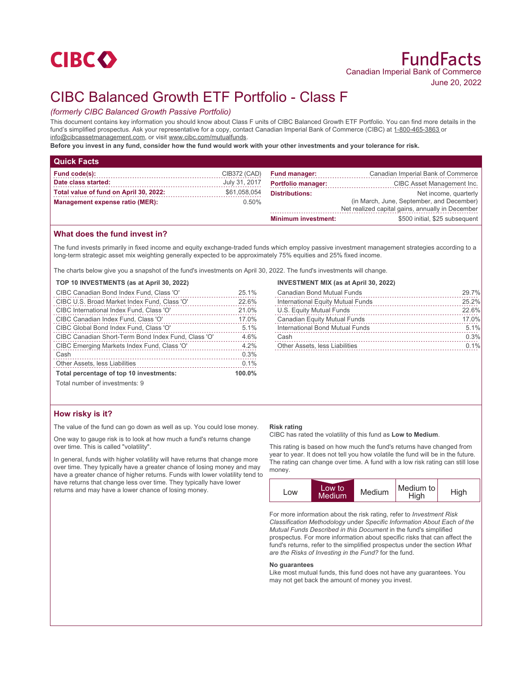# **CIBCO**

# CIBC Balanced Growth ETF Portfolio - Class F

# *(formerly CIBC Balanced Growth Passive Portfolio)*

This document contains key information you should know about Class F units of CIBC Balanced Growth ETF Portfolio. You can find more details in the fund's simplified prospectus. Ask your representative for a copy, contact Canadian Imperial Bank of Commerce (CIBC) at 1-800-465-3863 or info@cibcassetmanagement.com, or visit www.cibc.com/mutualfunds.

**Before you invest in any fund, consider how the fund would work with your other investments and your tolerance for risk.**

| <b>Quick Facts</b>                     |               |                                                                                               |                                    |
|----------------------------------------|---------------|-----------------------------------------------------------------------------------------------|------------------------------------|
| Fund code(s):                          | CIB372 (CAD)  | <b>Fund manager:</b>                                                                          | Canadian Imperial Bank of Commerce |
| Date class started:                    | July 31, 2017 | <b>Portfolio manager:</b>                                                                     | CIBC Asset Management Inc.         |
| Total value of fund on April 30, 2022: | \$61,058,054  | <b>Distributions:</b>                                                                         | Net income, quarterly              |
| Management expense ratio (MER):        | $0.50\%$      | (in March, June, September, and December)<br>Net realized capital gains, annually in December |                                    |
|                                        |               | <b>Minimum investment:</b>                                                                    | \$500 initial, \$25 subsequent     |

# **What does the fund invest in?**

The fund invests primarily in fixed income and equity exchange-traded funds which employ passive investment management strategies according to a long-term strategic asset mix weighting generally expected to be approximately 75% equities and 25% fixed income.

The charts below give you a snapshot of the fund's investments on April 30, 2022. The fund's investments will change.

### **TOP 10 INVESTMENTS (as at April 30, 2022)**

| CIBC Canadian Bond Index Fund, Class 'O'            | 25.1%  |
|-----------------------------------------------------|--------|
| CIBC U.S. Broad Market Index Fund, Class 'O'        | 22.6%  |
| CIBC International Index Fund, Class 'O'            | 21.0%  |
| CIBC Canadian Index Fund, Class 'O'                 | 17.0%  |
| CIBC Global Bond Index Fund, Class 'O'              | 5.1%   |
| CIBC Canadian Short-Term Bond Index Fund, Class 'O' | 4.6%   |
| CIBC Emerging Markets Index Fund, Class 'O'         | 4.2%   |
| Cash                                                | 0.3%   |
| Other Assets, less Liabilities                      | 0.1%   |
| Total percentage of top 10 investments:             | 100.0% |

#### **INVESTMENT MIX (as at April 30, 2022)**

| <b>Canadian Bond Mutual Funds</b> | 29.7% |
|-----------------------------------|-------|
| International Equity Mutual Funds | 25.2% |
| U.S. Equity Mutual Funds          | 22.6% |
| Canadian Equity Mutual Funds      | 17.0% |
| International Bond Mutual Funds   | 5.1%  |
| Cash                              | 0.3%  |
| Other Assets, less Liabilities    | 0.1%  |

Total number of investments: 9

## **How risky is it?**

The value of the fund can go down as well as up. You could lose money.

One way to gauge risk is to look at how much a fund's returns change over time. This is called "volatility".

In general, funds with higher volatility will have returns that change more over time. They typically have a greater chance of losing money and may have a greater chance of higher returns. Funds with lower volatility tend to have returns that change less over time. They typically have lower returns and may have a lower chance of losing money.

#### **Risk rating**

CIBC has rated the volatility of this fund as **Low to Medium**.

This rating is based on how much the fund's returns have changed from year to year. It does not tell you how volatile the fund will be in the future. The rating can change over time. A fund with a low risk rating can still lose money.



For more information about the risk rating, refer to *Investment Risk Classification Methodology* under *Specific Information About Each of the Mutual Funds Described in this Document* in the fund's simplified prospectus. For more information about specific risks that can affect the fund's returns, refer to the simplified prospectus under the section *What are the Risks of Investing in the Fund?* for the fund.

#### **No guarantees**

Like most mutual funds, this fund does not have any guarantees. You may not get back the amount of money you invest.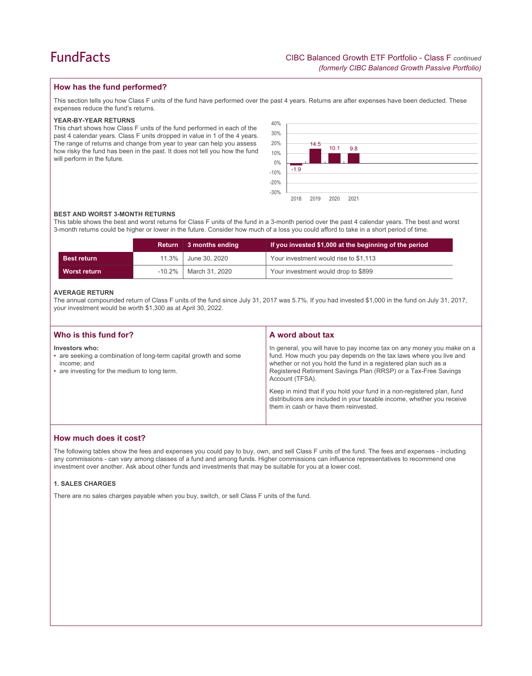# **How has the fund performed?**

This section tells you how Class F units of the fund have performed over the past 4 years. Returns are after expenses have been deducted. These expenses reduce the fund's returns.

#### **YEAR-BY-YEAR RETURNS**

This chart shows how Class F units of the fund performed in each of the past 4 calendar years. Class F units dropped in value in 1 of the 4 years. The range of returns and change from year to year can help you assess how risky the fund has been in the past. It does not tell you how the fund will perform in the future.



### **BEST AND WORST 3-MONTH RETURNS**

This table shows the best and worst returns for Class F units of the fund in a 3-month period over the past 4 calendar years. The best and worst 3-month returns could be higher or lower in the future. Consider how much of a loss you could afford to take in a short period of time.

|                    | <b>Return</b> | 3 months ending | If you invested \$1,000 at the beginning of the period |  |
|--------------------|---------------|-----------------|--------------------------------------------------------|--|
| <b>Best return</b> | 11.3%         | June 30, 2020   | Your investment would rise to \$1,113                  |  |
| Worst return       | $-10.2\%$     | March 31, 2020  | Your investment would drop to \$899                    |  |

#### **AVERAGE RETURN**

The annual compounded return of Class F units of the fund since July 31, 2017 was 5.7%. If you had invested \$1,000 in the fund on July 31, 2017, your investment would be worth \$1,300 as at April 30, 2022.

| Who is this fund for?                                                                                                                             | A word about tax                                                                                                                                                                                                                                                                                                                                                                                                                                                                                  |
|---------------------------------------------------------------------------------------------------------------------------------------------------|---------------------------------------------------------------------------------------------------------------------------------------------------------------------------------------------------------------------------------------------------------------------------------------------------------------------------------------------------------------------------------------------------------------------------------------------------------------------------------------------------|
| Investors who:<br>• are seeking a combination of long-term capital growth and some<br>income: and<br>• are investing for the medium to long term. | In general, you will have to pay income tax on any money you make on a<br>fund. How much you pay depends on the tax laws where you live and<br>whether or not you hold the fund in a registered plan such as a<br>Registered Retirement Savings Plan (RRSP) or a Tax-Free Savings<br>Account (TFSA).<br>Keep in mind that if you hold your fund in a non-registered plan, fund<br>distributions are included in your taxable income, whether you receive<br>them in cash or have them reinvested. |

# **How much does it cost?**

The following tables show the fees and expenses you could pay to buy, own, and sell Class F units of the fund. The fees and expenses - including any commissions - can vary among classes of a fund and among funds. Higher commissions can influence representatives to recommend one investment over another. Ask about other funds and investments that may be suitable for you at a lower cost.

#### **1. SALES CHARGES**

There are no sales charges payable when you buy, switch, or sell Class F units of the fund.